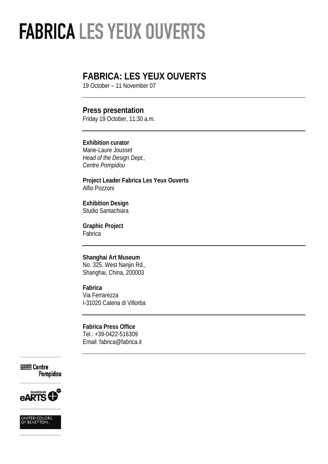## **FABRICA: LES YEUX OUVERTS**

19 October – 11 November 07

## **Press presentation**

Friday 19 October, 11:30 a.m.

## **Exhibition curator**

Marie-Laure Jousset *Head of the Design Dept., Centre Pompidou*

**Project Leader Fabrica Les Yeux Ouverts**  Alfio Pozzoni

**Exhibition Design**  Studio Santachiara

**Graphic Project**  Fabrica

## **Shanghai Art Museum**

No. 325, West Nanjin Rd., Shanghai, China, 200003

## **Fabrica**

Via Ferrarezza I-31020 Catena di Villorba

#### **Fabrica Press Office**  Tel.: +39-0422-516309 Email: fabrica@fabrica.it

= Centre Pompidou



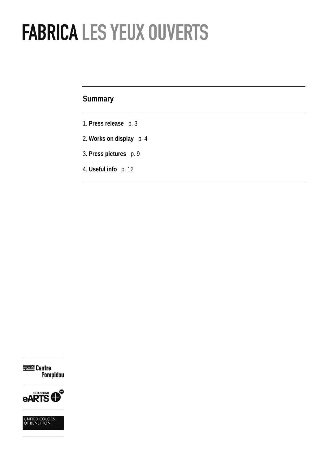## **Summary**

- 1. **Press release** p. 3
- 2. **Works on display** p. 4
- 3. **Press pictures** p. 9
- 4. **Useful info** p. 12

**Ezig** Centre<br>Pompidou



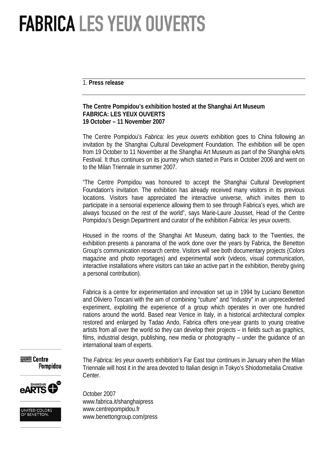1. **Press release** 

## **The Centre Pompidou's exhibition hosted at the Shanghai Art Museum FABRICA: LES YEUX OUVERTS 19 October – 11 November 2007**

The Centre Pompidou's *Fabrica: les yeux ouverts* exhibition goes to China following an invitation by the Shanghai Cultural Development Foundation. The exhibition will be open from 19 October to 11 November at the Shanghai Art Museum as part of the Shanghai eArts Festival. It thus continues on its journey which started in Paris in October 2006 and went on to the Milan Triennale in summer 2007.

"The Centre Pompidou was honoured to accept the Shanghai Cultural Development Foundation's invitation. The exhibition has already received many visitors in its previous locations. Visitors have appreciated the interactive universe, which invites them to participate in a sensorial experience allowing them to see through Fabrica's eyes, which are always focused on the rest of the world", says Marie-Laure Jousset, Head of the Centre Pompidou's Design Department and curator of the exhibition *Fabrica: les yeux ouverts*.

Housed in the rooms of the Shanghai Art Museum, dating back to the Twenties, the exhibition presents a panorama of the work done over the years by Fabrica, the Benetton Group's communication research centre. Visitors will see both documentary projects (Colors magazine and photo reportages) and experimental work (videos, visual communication, interactive installations where visitors can take an active part in the exhibition, thereby giving a personal contribution).

Fabrica is a centre for experimentation and innovation set up in 1994 by Luciano Benetton and Oliviero Toscani with the aim of combining "culture" and "industry" in an unprecedented experiment, exploiting the experience of a group which operates in over one hundred nations around the world. Based near Venice in Italy, in a historical architectural complex restored and enlarged by Tadao Ando, Fabrica offers one-year grants to young creative artists from all over the world so they can develop their projects – in fields such as graphics, films, industrial design, publishing, new media or photography – under the guidance of an international team of experts.

 $\equiv$  Centre Pompidou

> **HANGHA NRTS**

The *Fabrica: les yeux ouverts* exhibition's Far East tour continues in January when the Milan Triennale will host it in the area devoted to Italian design in Tokyo's Shiodomeitalia Creative Center.

October 2007 www.fabrica.it/shanghaipress www.centrepompidou.fr www.benettongroup.com/press

UNITED COLORS<br>OF BENETTON.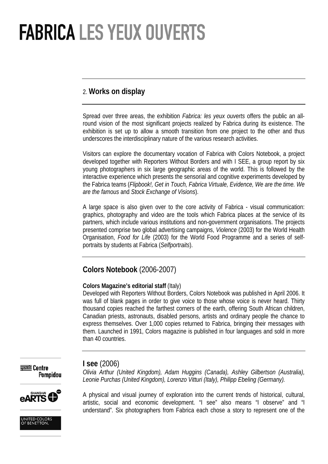## 2. **Works on display**

Spread over three areas, the exhibition *Fabrica: les yeux ouverts* offers the public an allround vision of the most significant projects realized by Fabrica during its existence. The exhibition is set up to allow a smooth transition from one project to the other and thus underscores the interdisciplinary nature of the various research activities.

Visitors can explore the documentary vocation of Fabrica with Colors Notebook, a project developed together with Reporters Without Borders and with I SEE, a group report by six young photographers in six large geographic areas of the world. This is followed by the interactive experience which presents the sensorial and cognitive experiments developed by the Fabrica teams (*Flipbook!, Get in Touch, Fabrica Virtuale, Evidence, We are the time. We are the famous* and *Stock Exchange of Visions*).

A large space is also given over to the core activity of Fabrica - visual communication: graphics, photography and video are the tools which Fabrica places at the service of its partners, which include various institutions and non-government organisations. The projects presented comprise two global advertising campaigns, *Violence* (2003) for the World Health Organisation, *Food for Life* (2003) for the World Food Programme and a series of selfportraits by students at Fabrica (*Selfportraits*).

## **Colors Notebook** (2006-2007)

## **Colors Magazine's editorial staff** (Italy)

Developed with Reporters Without Borders, Colors Notebook was published in April 2006. It was full of blank pages in order to give voice to those whose voice is never heard. Thirty thousand copies reached the farthest corners of the earth, offering South African children, Canadian priests, astronauts, disabled persons, artists and ordinary people the chance to express themselves. Over 1,000 copies returned to Fabrica, bringing their messages with them. Launched in 1991, Colors magazine is published in four languages and sold in more than 40 countries.



## **I see** (2006)

*Olivia Arthur (United Kingdom), Adam Huggins (Canada), Ashley Gilbertson (Australia), Leonie Purchas (United Kingdom), Lorenzo Vitturi (Italy), Philipp Ebeling (Germany).* 





A physical and visual journey of exploration into the current trends of historical, cultural, artistic, social and economic development. "I see" also means "I observe" and "I understand". Six photographers from Fabrica each chose a story to represent one of the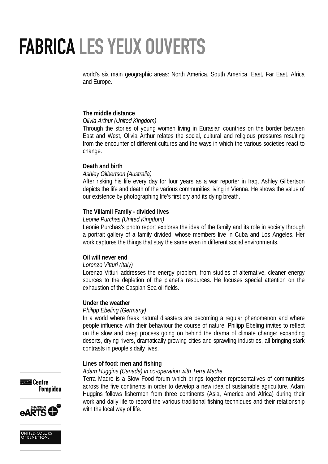world's six main geographic areas: North America, South America, East, Far East, Africa and Europe.

## **The middle distance**

## *Olivia Arthur (United Kingdom)*

Through the stories of young women living in Eurasian countries on the border between East and West, Olivia Arthur relates the social, cultural and religious pressures resulting from the encounter of different cultures and the ways in which the various societies react to change.

## **Death and birth**

## *Ashley Gilbertson (Australia)*

After risking his life every day for four years as a war reporter in Iraq, Ashley Gilbertson depicts the life and death of the various communities living in Vienna. He shows the value of our existence by photographing life's first cry and its dying breath.

## **The Villamil Family - divided lives**

### *Leonie Purchas (United Kingdom)*

Leonie Purchas's photo report explores the idea of the family and its role in society through a portrait gallery of a family divided, whose members live in Cuba and Los Angeles. Her work captures the things that stay the same even in different social environments.

### **Oil will never end**

### *Lorenzo Vitturi (Italy)*

Lorenzo Vitturi addresses the energy problem, from studies of alternative, cleaner energy sources to the depletion of the planet's resources. He focuses special attention on the exhaustion of the Caspian Sea oil fields.

### **Under the weather**

### *Philipp Ebeling (Germany)*

In a world where freak natural disasters are becoming a regular phenomenon and where people influence with their behaviour the course of nature, Philipp Ebeling invites to reflect on the slow and deep process going on behind the drama of climate change: expanding deserts, drying rivers, dramatically growing cities and sprawling industries, all bringing stark contrasts in people's daily lives.

### **Lines of food: men and fishing**

### *Adam Huggins (Canada) in co-operation with Terra Madre*

Terra Madre is a Slow Food forum which brings together representatives of communities across the five continents in order to develop a new idea of sustainable agriculture. Adam Huggins follows fishermen from three continents (Asia, America and Africa) during their work and daily life to record the various traditional fishing techniques and their relationship with the local way of life.





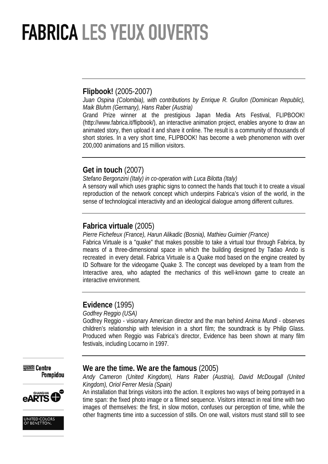## **Flipbook!** (2005-2007)

*Juan Ospina (Colombia), with contributions by Enrique R. Grullon (Dominican Republic), Maik Bluhm (Germany), Hans Raber (Austria)* 

Grand Prize winner at the prestigious Japan Media Arts Festival, FLIPBOOK! (http://www.fabrica.it/flipbook/), an interactive animation project, enables anyone to draw an animated story, then upload it and share it online. The result is a community of thousands of short stories. In a very short time, FLIPBOOK! has become a web phenomenon with over 200,000 animations and 15 million visitors.

## **Get in touch** (2007)

*Stefano Bergonzini (Italy) in co-operation with Luca Bilotta (Italy)* 

A sensory wall which uses graphic signs to connect the hands that touch it to create a visual reproduction of the network concept which underpins Fabrica's vision of the world, in the sense of technological interactivity and an ideological dialogue among different cultures.

## **Fabrica virtuale** (2005)

*Pierre Fichefeux (France), Harun Alikadic (Bosnia), Mathieu Guimier (France)* 

Fabrica Virtuale is a "quake" that makes possible to take a virtual tour through Fabrica, by means of a three-dimensional space in which the building designed by Tadao Ando is recreated in every detail. Fabrica Virtuale is a Quake mod based on the engine created by ID Software for the videogame Quake 3. The concept was developed by a team from the Interactive area, who adapted the mechanics of this well-known game to create an interactive environment.

## **Evidence** (1995)

*Godfrey Reggio (USA)* 

Godfrey Reggio - visionary American director and the man behind *Anima Mundi* - observes children's relationship with television in a short film; the soundtrack is by Philip Glass. Produced when Reggio was Fabrica's director, Evidence has been shown at many film festivals, including Locarno in 1997.



## **We are the time. We are the famous** (2005)





*Kingdom), Oriol Ferrer Mesía (Spain)*  An installation that brings visitors into the action. It explores two ways of being portrayed in a time span: the fixed photo image or a filmed sequence. Visitors interact in real time with two images of themselves: the first, in slow motion, confuses our perception of time, while the

other fragments time into a succession of stills. On one wall, visitors must stand still to see

*Andy Cameron (United Kingdom), Hans Raber (Austria), David McDougall (United*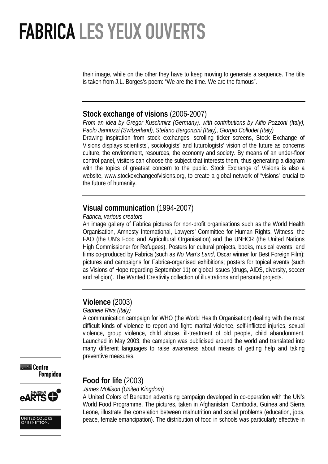their image, while on the other they have to keep moving to generate a sequence. The title is taken from J.L. Borges's poem: "We are the time. We are the famous".

## **Stock exchange of visions** (2006-2007)

*From an idea by Gregor Kuschmirz (Germany), with contributions by Alfio Pozzoni (Italy), Paolo Jannuzzi (Switzerland), Stefano Bergonzini (Italy), Giorgio Collodet (Italy)* 

Drawing inspiration from stock exchanges' scrolling ticker screens, Stock Exchange of Visions displays scientists', sociologists' and futurologists' vision of the future as concerns culture, the environment, resources, the economy and society. By means of an under-floor control panel, visitors can choose the subject that interests them, thus generating a diagram with the topics of greatest concern to the public. Stock Exchange of Visions is also a website, www.stockexchangeofvisions.org, to create a global network of "visions" crucial to the future of humanity.

## **Visual communication** (1994-2007)

## *Fabrica, various creators*

An image gallery of Fabrica pictures for non-profit organisations such as the World Health Organisation, Amnesty International, Lawyers' Committee for Human Rights, Witness, the FAO (the UN's Food and Agricultural Organisation) and the UNHCR (the United Nations High Commissioner for Refugees). Posters for cultural projects, books, musical events, and films co-produced by Fabrica (such as *No Man's Land*, Oscar winner for Best Foreign Film); pictures and campaigns for Fabrica-organised exhibitions; posters for topical events (such as Visions of Hope regarding September 11) or global issues (drugs, AIDS, diversity, soccer and religion). The Wanted Creativity collection of illustrations and personal projects.

## **Violence** (2003)

## *Gabriele Riva (Italy)*

A communication campaign for WHO (the World Health Organisation) dealing with the most difficult kinds of violence to report and fight: marital violence, self-inflicted injuries, sexual violence, group violence, child abuse, ill-treatment of old people, child abandonment. Launched in May 2003, the campaign was publicised around the world and translated into many different languages to raise awareness about means of getting help and taking preventive measures.

 $\equiv$  Centre **Pompidou** 





## **Food for life** (2003)

*James Mollison (United Kingdom)* 

A United Colors of Benetton advertising campaign developed in co-operation with the UN's World Food Programme. The pictures, taken in Afghanistan, Cambodia, Guinea and Sierra Leone, illustrate the correlation between malnutrition and social problems (education, jobs, peace, female emancipation). The distribution of food in schools was particularly effective in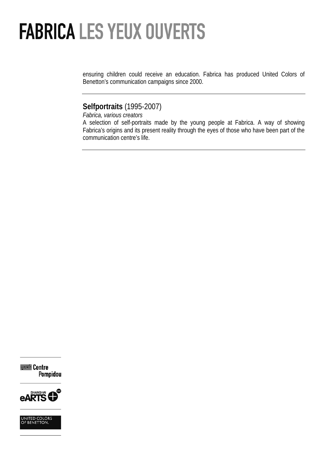ensuring children could receive an education. Fabrica has produced United Colors of Benetton's communication campaigns since 2000.

## **Selfportraits** (1995-2007)

*Fabrica, various creators* 

A selection of self-portraits made by the young people at Fabrica. A way of showing Fabrica's origins and its present reality through the eyes of those who have been part of the communication centre's life.

= Centre Pompidou



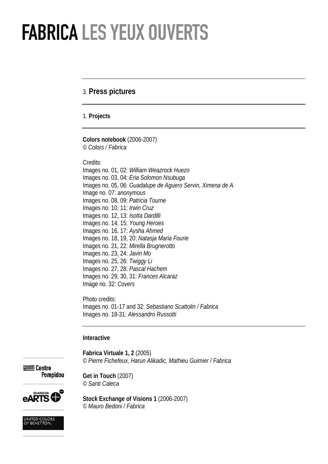## 3. **Press pictures**

1. **Projects** 

**Colors notebook** (2006-2007) *© Colors / Fabrica* 

Credits:

Images no. 01, 02: *William Weazrock Huezo*  Images no. 03, 04: *Eria Solomon Nsubuga*  Images no. 05, 06: *Guadalupe de Aguero Servin, Ximena de A.* Image no. 07: *anonymous* Images no. 08, 09: *Patricia Tourne*  Images no. 10, 11: *Irwin Cruz*  Images no. 12, 13: *Isotta Dardilli*  Images no. 14, 15: *Young Heroes* Images no. 16, 17: *Aysha Ahmed* Images no. 18, 19, 20: *Natasja Maria Fourie*  Images no. 21, 22: *Mirella Brugnerotto*  Images no. 23, 24: *Javin Mo* Images no. 25, 26: *Twiggy Li*  Images no. 27, 28: *Pascal Hachem*  Images no. 29, 30, 31: *Frances Alcaraz* Image no. 32: *Covers* 

Photo credits: Images no. 01-17 and 32: *Sebastiano Scattolin / Fabrica*  Images no. 18-31: *Alessandro Russotti* 

#### **Interactive**

**Get in Touch** (2007) *© Santi Caleca*

**Fabrica Virtuale 1, 2** (2005) *© Pierre Fichefeux, Harun Alikadic, Mathieu Guimier / Fabrica* 

 $\equiv$  Centre Pompidou

**Stock Exchange of Visions 1** (2006-2007) *© Mauro Bedoni / Fabrica* 

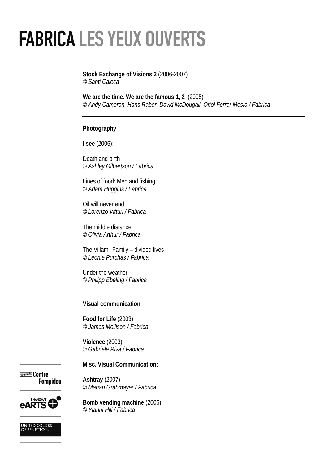### **Stock Exchange of Visions 2** (2006-2007) *© Santi Caleca*

**We are the time. We are the famous 1, 2** (2005) *© Andy Cameron, Hans Raber, David McDougall, Oriol Ferrer Mesía / Fabrica* 

## **Photography**

**I see** (2006):

Death and birth *© Ashley Gilbertson / Fabrica* 

Lines of food: Men and fishing *© Adam Huggins / Fabrica* 

Oil will never end *© Lorenzo Vitturi / Fabrica* 

The middle distance *© Olivia Arthur / Fabrica* 

The Villamil Family – divided lives *© Leonie Purchas / Fabrica* 

Under the weather *© Philipp Ebeling / Fabrica*

### **Visual communication**

**Food for Life** (2003) *© James Mollison / Fabrica*

**Violence** (2003) *© Gabriele Riva / Fabrica* 

**Misc. Visual Communication:** 

 $\equiv$  Centre Pompidou

**Ashtray** (2007) *© Marian Grabmayer / Fabrica* 



UNITED COLORS<br>OF BENETTON.

**Bomb vending machine** (2006) *© Yianni Hill / Fabrica*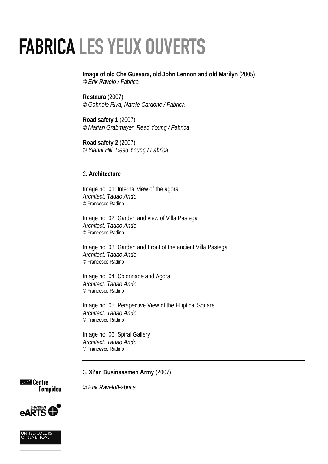**Image of old Che Guevara, old John Lennon and old Marilyn** (2005) *© Erik Ravelo / Fabrica* 

**Restaura** (2007) *© Gabriele Riva, Natale Cardone / Fabrica* 

**Road safety 1** (2007) *© Marian Grabmayer, Reed Young / Fabrica* 

**Road safety 2** (2007) *© Yianni Hill, Reed Young / Fabrica* 

## 2. **Architecture**

Image no. 01: Internal view of the agora *Architect: Tadao Ando*  © Francesco Radino

Image no. 02: Garden and view of Villa Pastega *Architect: Tadao Ando*  © Francesco Radino

Image no. 03: Garden and Front of the ancient Villa Pastega *Architect: Tadao Ando*  © Francesco Radino

Image no. 04: Colonnade and Agora *Architect: Tadao Ando*  © Francesco Radino

Image no. 05: Perspective View of the Elliptical Square *Architect: Tadao Ando*  © Francesco Radino

Image no. 06: Spiral Gallery *Architect: Tadao Ando*  © Francesco Radino

*© Erik Ravelo/Fabrica* 

3. **Xi'an Businessmen Army** (2007)

**DESE Centre** Pompidou



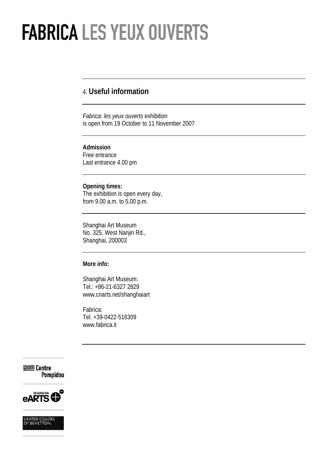## 4. **Useful information**

*Fabrica: les yeux ouverts* exhibition is open from 19 October to 11 November 2007

#### **Admission**

Free entrance Last entrance 4.00 pm

## **Opening times:**

The exhibition is open every day, from 9.00 a.m. to 5.00 p.m.

Shanghai Art Museum No. 325, West Nanjin Rd., Shanghai, 200003

## **More info:**

Shanghai Art Museum: Tel.: +86-21-6327 2829 www.cnarts.net/shanghaiart

Fabrica: Tel. +39-0422-516309 www.fabrica.it





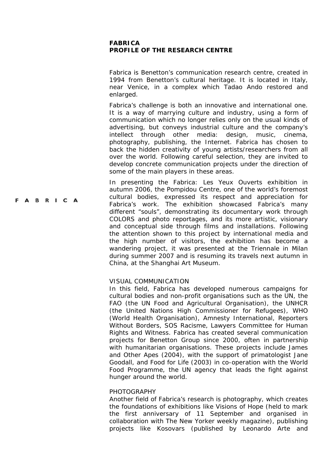## **FABRICA PROFILE OF THE RESEARCH CENTRE**

Fabrica is Benetton's communication research centre, created in 1994 from Benetton's cultural heritage. It is located in Italy, near Venice, in a complex which Tadao Ando restored and enlarged.

Fabrica's challenge is both an innovative and international one. It is a way of marrying culture and industry, using a form of communication which no longer relies only on the usual kinds of advertising, but conveys industrial culture and the company's intellect through other media: design, music, cinema, photography, publishing, the Internet. Fabrica has chosen to back the hidden creativity of young artists/researchers from all over the world. Following careful selection, they are invited to develop concrete communication projects under the direction of some of the main players in these areas.

In presenting the *Fabrica: Les Yeux Ouverts* exhibition in *a*utumn 2006*,* the Pompidou Centre, one of the world's foremost cultural bodies, expressed its respect and appreciation for Fabrica's work. The exhibition showcased Fabrica's many different "souls", demonstrating its documentary work through *COLORS* and photo reportages, and its more artistic, visionary and conceptual side through films and installations. Following the attention shown to this project by international media and the high number of visitors, the exhibition has become a wandering project, it was presented at the Triennale in Milan during summer 2007 and is resuming its travels next autumn in China, at the Shanghai Art Museum.

#### VISUAL COMMUNICATION

**ABRICA** 

In this field, Fabrica has developed numerous campaigns for cultural bodies and non-profit organisations such as the UN, the FAO (the UN Food and Agricultural Organisation), the UNHCR (the United Nations High Commissioner for Refugees), WHO (World Health Organisation), Amnesty International, Reporters Without Borders, SOS Racisme, Lawyers Committee for Human Rights and Witness. Fabrica has created several communication projects for Benetton Group since 2000, often in partnership with humanitarian organisations. These projects include *James and Other Apes* (2004), with the support of primatologist Jane Goodall, and *Food for Life* (2003) in co-operation with the World Food Programme, the UN agency that leads the fight against hunger around the world.

#### **PHOTOGRAPHY**

Another field of Fabrica's research is photography, which creates the foundations of exhibitions like *Visions of Hope* (held to mark the first anniversary of 11 September and organised in collaboration with *The New Yorker* weekly magazine), publishing projects like *Kosovars* (published by Leonardo Arte and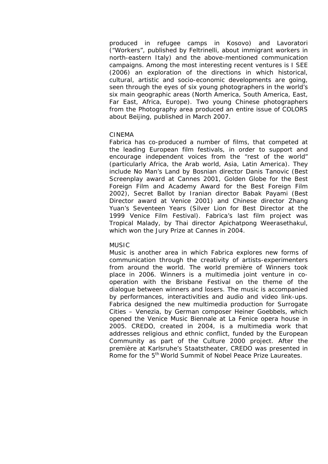produced in refugee camps in Kosovo) and *Lavoratori* ("Workers", published by Feltrinelli, about immigrant workers in north-eastern Italy) and the above-mentioned communication campaigns. Among the most interesting recent ventures is *I SEE* (2006) an exploration of the directions in which historical, cultural, artistic and socio-economic developments are going, seen through the eyes of six young photographers in the world's six main geographic areas (North America, South America, East, Far East, Africa, Europe). Two young Chinese photographers from the Photography area produced an entire issue of *COLORS* about Beijing, published in March 2007.

### CINEMA

Fabrica has co-produced a number of films, that competed at the leading European film festivals, in order to support and encourage independent voices from the "rest of the world" (particularly Africa, the Arab world, Asia, Latin America). They include *No Man's Land* by Bosnian director Danis Tanovic (Best Screenplay award at Cannes 2001, Golden Globe for the Best Foreign Film and Academy Award for the Best Foreign Film 2002), *Secret Ballot* by Iranian director Babak Payami (Best Director award at Venice 2001) and Chinese director Zhang Yuan's *Seventeen Years* (Silver Lion for Best Director at the 1999 Venice Film Festival). Fabrica's last film project was *Tropical Malady*, by Thai director Apichatpong Weerasethakul, which won the Jury Prize at Cannes in 2004.

#### MUSIC

Music is another area in which Fabrica explores new forms of communication through the creativity of artists-experimenters from around the world. The world première of *Winners* took place in 2006. *Winners* is a multimedia joint venture in cooperation with the Brisbane Festival on the theme of the dialogue between winners and losers. The music is accompanied by performances, interactivities and audio and video link-ups. Fabrica designed the new multimedia production for *Surrogate Cities – Venezia*, by German composer Heiner Goebbels, which opened the Venice Music Biennale at La Fenice opera house in 2005. *CREDO*, created in 2004, is a multimedia work that addresses religious and ethnic conflict, funded by the European Community as part of the Culture 2000 project. After the première at Karlsruhe's Staatstheater, *CREDO* was presented in Rome for the 5<sup>th</sup> World Summit of Nobel Peace Prize Laureates.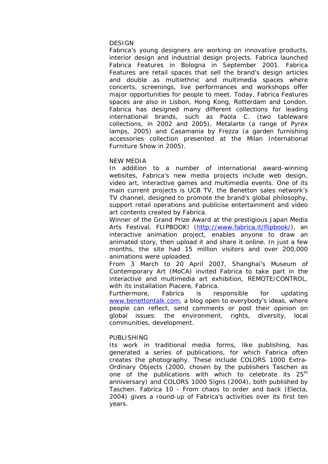#### **DESIGN**

Fabrica's young designers are working on innovative products, interior design and industrial design projects. Fabrica launched Fabrica Features in Bologna in September 2001. Fabrica Features are retail spaces that sell the brand's design articles and double as multiethnic and multimedia spaces where concerts, screenings, live performances and workshops offer major opportunities for people to meet. Today, Fabrica Features spaces are also in Lisbon, Hong Kong, Rotterdam and London. Fabrica has designed many different collections for leading international brands, such as Paola C. (two tableware collections, in 2002 and 2005), Metalarte (a range of Pyrex lamps, 2005) and Casamania by Frezza (a garden furnishing accessories collection presented at the Milan International Furniture Show in 2005).

### NEW MEDIA

In addition to a number of international award-winning websites, Fabrica's new media projects include web design, video art, interactive games and multimedia events. One of its main current projects is UCB TV, the Benetton sales network's TV channel, designed to promote the brand's global philosophy, support retail operations and publicise entertainment and video art contents created by Fabrica.

Winner of the Grand Prize Award at the prestigious Japan Media Arts Festival, *FLIPBOOK!* (http://www.fabrica.it/flipbook/), an interactive animation project, enables anyone to draw an animated story, then upload it and share it online. In just a few months, the site had 15 million visitors and over 200,000 animations were uploaded.

From 3 March to 20 April 2007, Shanghai's Museum of Contemporary Art (MoCA) invited Fabrica to take part in the interactive and multimedia art exhibition, REMOTE/CONTROL, with its installation *Piacere, Fabrica*.

Furthermore, Fabrica is responsible for updating www.benettontalk.com, a blog open to everybody's ideas, where people can reflect, send comments or post their opinion on global issues: the environment, rights, diversity, local communities, development.

### PUBLISHING

Its work in traditional media forms, like publishing, has generated a series of publications, for which Fabrica often creates the photography. These include *COLORS 1000 Extra-Ordinary Objects* (2000, chosen by the publishers Taschen as one of the publications with which to celebrate its 25<sup>th</sup> anniversary) and *COLORS 1000 Signs* (2004)*,* both published by Taschen*. Fabrica 10 - From chaos to order and back* (Electa, 2004) gives a round-up of Fabrica's activities over its first ten years.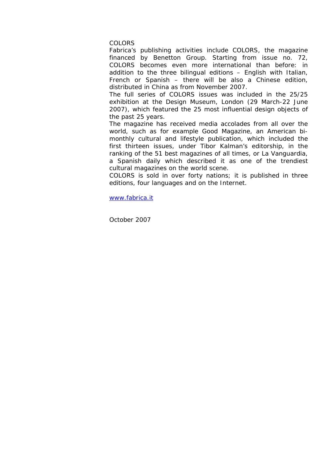#### COLORS

Fabrica's publishing activities include *COLORS*, the magazine financed by Benetton Group. Starting from issue no. 72, *COLORS* becomes even more international than before: in addition to the three bilingual editions – English with Italian, French or Spanish – there will be also a Chinese edition, distributed in China as from November 2007.

The full series of *COLORS* issues was included in the 25/25 exhibition at the Design Museum, London (29 March-22 June 2007), which featured the 25 most influential design objects of the past 25 years.

The magazine has received media accolades from all over the world, such as for example *Good Magazine*, an American bimonthly cultural and lifestyle publication, which included the first thirteen issues, under Tibor Kalman's editorship, in the ranking of the 51 best magazines of all times, or *La Vanguardia*, a Spanish daily which described it as one of the trendiest cultural magazines on the world scene.

*COLORS* is sold in over forty nations; it is published in three editions, four languages and on the Internet.

www.fabrica.it

October 2007